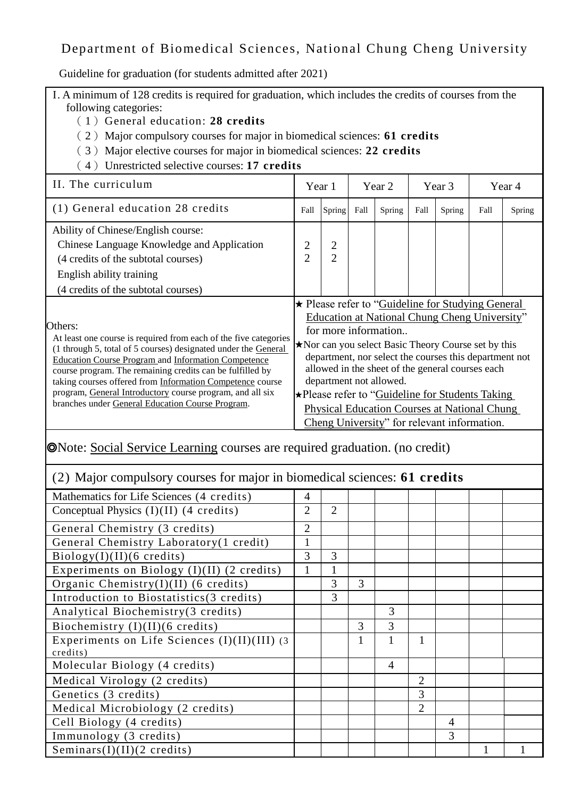# Department of Biomedical Sciences, National Chung Cheng University

Guideline for graduation (for students admitted after 2021)

I. A minimum of 128 credits is required for graduation, which includes the credits of courses from the following categories:

- (1)General education: **28 credits**
- (2)Major compulsory courses for major in biomedical sciences: **61 credits**
- (3)Major elective courses for major in biomedical sciences: **22 credits**
- (4)Unrestricted selective courses: **17 credits**

| II. The curriculum                                                                                                                                                                                                                                                                                                                                                                                                                                     | Year 1                                                                                                                                                                                                                                                                                                                                                                                                                                                                             |                                  | Year 2 |        | Year 3 |        | Year 4 |               |
|--------------------------------------------------------------------------------------------------------------------------------------------------------------------------------------------------------------------------------------------------------------------------------------------------------------------------------------------------------------------------------------------------------------------------------------------------------|------------------------------------------------------------------------------------------------------------------------------------------------------------------------------------------------------------------------------------------------------------------------------------------------------------------------------------------------------------------------------------------------------------------------------------------------------------------------------------|----------------------------------|--------|--------|--------|--------|--------|---------------|
| (1) General education 28 credits                                                                                                                                                                                                                                                                                                                                                                                                                       | Fall                                                                                                                                                                                                                                                                                                                                                                                                                                                                               | Spring                           | Fall   | Spring | Fall   | Spring | Fall   | <b>Spring</b> |
| Ability of Chinese/English course:<br>Chinese Language Knowledge and Application<br>(4 credits of the subtotal courses)<br>English ability training<br>(4 credits of the subtotal courses)                                                                                                                                                                                                                                                             | 2<br>$\overline{2}$                                                                                                                                                                                                                                                                                                                                                                                                                                                                | $\overline{2}$<br>$\overline{2}$ |        |        |        |        |        |               |
| Others:<br>At least one course is required from each of the five categories<br>(1 through 5, total of 5 courses) designated under the General<br><b>Education Course Program and Information Competence</b><br>course program. The remaining credits can be fulfilled by<br>taking courses offered from Information Competence course<br>program, General Introductory course program, and all six<br>branches under General Education Course Program. | ★ Please refer to "Guideline for Studying General<br>Education at National Chung Cheng University"<br>for more information<br>Nor can you select Basic Theory Course set by this<br>department, nor select the courses this department not<br>allowed in the sheet of the general courses each<br>department not allowed.<br>★Please refer to "Guideline for Students Taking<br><b>Physical Education Courses at National Chung</b><br>Cheng University" for relevant information. |                                  |        |        |        |        |        |               |

## ◎Note: Social Service Learning courses are required graduation. (no credit)

### (2) Major compulsory courses for major in biomedical sciences: **61 credits**

| Mathematics for Life Sciences (4 credits)    | 4              |                |   |                |                |                |  |
|----------------------------------------------|----------------|----------------|---|----------------|----------------|----------------|--|
| Conceptual Physics $(I)(II)$ (4 credits)     | 2              | $\overline{2}$ |   |                |                |                |  |
| General Chemistry (3 credits)                | $\overline{2}$ |                |   |                |                |                |  |
| General Chemistry Laboratory(1 credit)       |                |                |   |                |                |                |  |
| Biology(I)(II)(6 credits)                    | 3              | 3              |   |                |                |                |  |
| Experiments on Biology (I)(II) (2 credits)   |                |                |   |                |                |                |  |
| Organic Chemistry(I)(II) (6 credits)         |                | 3              | 3 |                |                |                |  |
| Introduction to Biostatistics(3 credits)     |                | 3              |   |                |                |                |  |
| Analytical Biochemistry(3 credits)           |                |                |   | 3              |                |                |  |
| Biochemistry $(I)(II)(6 \text{ credits})$    |                |                | 3 | 3              |                |                |  |
| Experiments on Life Sciences (I)(II)(III) (3 |                |                |   | 1              | 1              |                |  |
| credits)                                     |                |                |   |                |                |                |  |
| Molecular Biology (4 credits)                |                |                |   | $\overline{4}$ |                |                |  |
| Medical Virology (2 credits)                 |                |                |   |                | $\overline{2}$ |                |  |
| Genetics (3 credits)                         |                |                |   |                | 3              |                |  |
| Medical Microbiology (2 credits)             |                |                |   |                | $\overline{2}$ |                |  |
| Cell Biology (4 credits)                     |                |                |   |                |                | $\overline{A}$ |  |
| Immunology (3 credits)                       |                |                |   |                |                | 3              |  |
| Seminars $(I)(II)(2 \text{ credits})$        |                |                |   |                |                |                |  |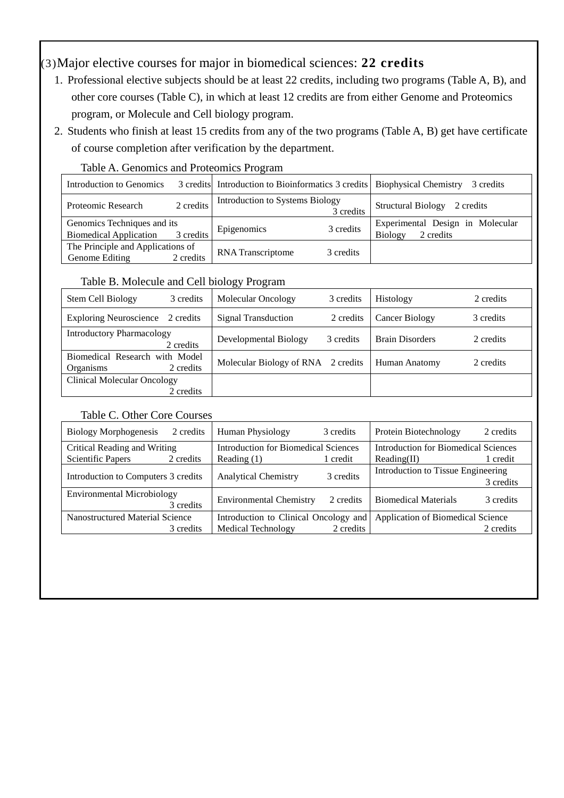## (3)Major elective courses for major in biomedical sciences: **22 credits**

- 1. Professional elective subjects should be at least 22 credits, including two programs (Table A, B), and other core courses (Table C), in which at least 12 credits are from either Genome and Proteomics program, or Molecule and Cell biology program.
- 2. Students who finish at least 15 credits from any of the two programs (Table A, B) get have certificate of course completion after verification by the department.

| Introduction to Genomics          |           | 3 credits Introduction to Bioinformatics 3 credits   Biophysical Chemistry |           | 3 credits                              |
|-----------------------------------|-----------|----------------------------------------------------------------------------|-----------|----------------------------------------|
| Proteomic Research                | 2 credits | Introduction to Systems Biology                                            | 3 credits | <b>Structural Biology</b><br>2 credits |
| Genomics Techniques and its       |           | Epigenomics                                                                | 3 credits | Experimental Design in Molecular       |
| <b>Biomedical Application</b>     | 3 credits |                                                                            |           | 2 credits<br><b>Biology</b>            |
| The Principle and Applications of |           | <b>RNA</b> Transcriptome                                                   | 3 credits |                                        |
| Genome Editing                    | 2 credits |                                                                            |           |                                        |

#### Table A. Genomics and Proteomics Program

### Table B. Molecule and Cell biology Program

| Stem Cell Biology                                  | 3 credits | Molecular Oncology                 | 3 credits | Histology              | 2 credits |
|----------------------------------------------------|-----------|------------------------------------|-----------|------------------------|-----------|
| Exploring Neuroscience 2 credits                   |           | <b>Signal Transduction</b>         | 2 credits | Cancer Biology         | 3 credits |
| <b>Introductory Pharmacology</b>                   | 2 credits | Developmental Biology              | 3 credits | <b>Brain Disorders</b> | 2 credits |
| Biomedical Research with Model<br><b>Organisms</b> | 2 credits | Molecular Biology of RNA 2 credits |           | Human Anatomy          | 2 credits |
| Clinical Molecular Oncology                        |           |                                    |           |                        |           |
|                                                    | 2 credits |                                    |           |                        |           |

### Table C. Other Core Courses

| <b>Biology Morphogenesis</b><br>2 credits      | Human Physiology                      | 3 credits | Protein Biotechnology                | 2 credits |  |
|------------------------------------------------|---------------------------------------|-----------|--------------------------------------|-----------|--|
| Critical Reading and Writing                   | Introduction for Biomedical Sciences  |           | Introduction for Biomedical Sciences |           |  |
| <b>Scientific Papers</b><br>2 credits          | Reading $(1)$                         | 1 credit  | Reading(II)                          | 1 credit  |  |
| Introduction to Computers 3 credits            | <b>Analytical Chemistry</b>           | 3 credits | Introduction to Tissue Engineering   | 3 credits |  |
| <b>Environmental Microbiology</b><br>3 credits | <b>Environmental Chemistry</b>        | 2 credits | <b>Biomedical Materials</b>          | 3 credits |  |
| Nanostructured Material Science                | Introduction to Clinical Oncology and |           | Application of Biomedical Science    |           |  |
| 3 credits                                      | <b>Medical Technology</b>             | 2 credits |                                      | 2 credits |  |